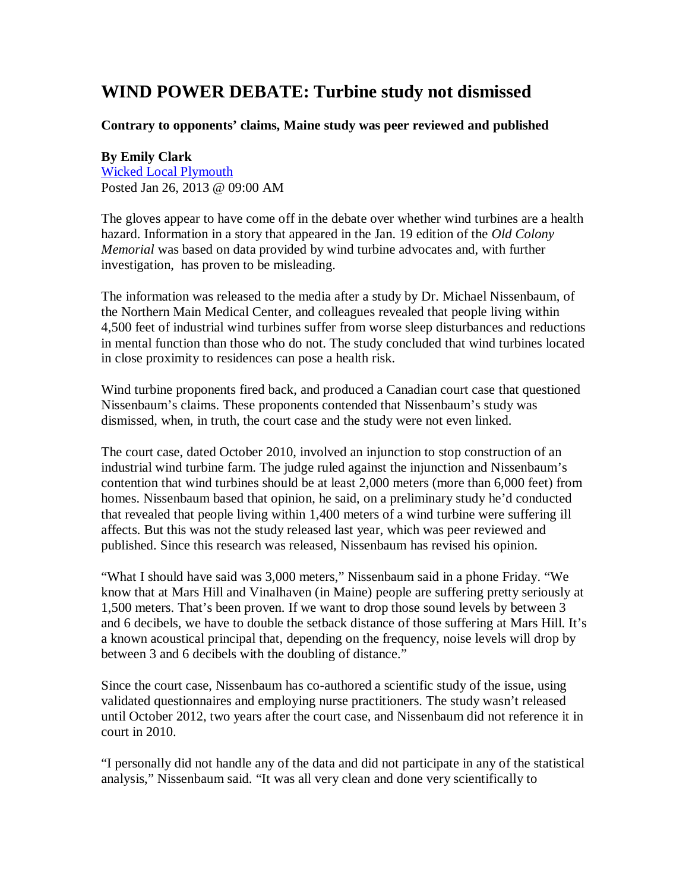## **WIND POWER DEBATE: Turbine study not dismissed**

## **Contrary to opponents' claims, Maine study was peer reviewed and published**

## **By Emily Clark**

Wicked Local Plymouth Posted Jan 26, 2013 @ 09:00 AM

The gloves appear to have come off in the debate over whether wind turbines are a health hazard. Information in a story that appeared in the Jan. 19 edition of the *Old Colony Memorial* was based on data provided by wind turbine advocates and, with further investigation, has proven to be misleading.

The information was released to the media after a study by Dr. Michael Nissenbaum, of the Northern Main Medical Center, and colleagues revealed that people living within 4,500 feet of industrial wind turbines suffer from worse sleep disturbances and reductions in mental function than those who do not. The study concluded that wind turbines located in close proximity to residences can pose a health risk.

Wind turbine proponents fired back, and produced a Canadian court case that questioned Nissenbaum's claims. These proponents contended that Nissenbaum's study was dismissed, when, in truth, the court case and the study were not even linked.

The court case, dated October 2010, involved an injunction to stop construction of an industrial wind turbine farm. The judge ruled against the injunction and Nissenbaum's contention that wind turbines should be at least 2,000 meters (more than 6,000 feet) from homes. Nissenbaum based that opinion, he said, on a preliminary study he'd conducted that revealed that people living within 1,400 meters of a wind turbine were suffering ill affects. But this was not the study released last year, which was peer reviewed and published. Since this research was released, Nissenbaum has revised his opinion.

"What I should have said was 3,000 meters," Nissenbaum said in a phone Friday. "We know that at Mars Hill and Vinalhaven (in Maine) people are suffering pretty seriously at 1,500 meters. That's been proven. If we want to drop those sound levels by between 3 and 6 decibels, we have to double the setback distance of those suffering at Mars Hill. It's a known acoustical principal that, depending on the frequency, noise levels will drop by between 3 and 6 decibels with the doubling of distance."

Since the court case, Nissenbaum has co-authored a scientific study of the issue, using validated questionnaires and employing nurse practitioners. The study wasn't released until October 2012, two years after the court case, and Nissenbaum did not reference it in court in 2010.

"I personally did not handle any of the data and did not participate in any of the statistical analysis," Nissenbaum said. "It was all very clean and done very scientifically to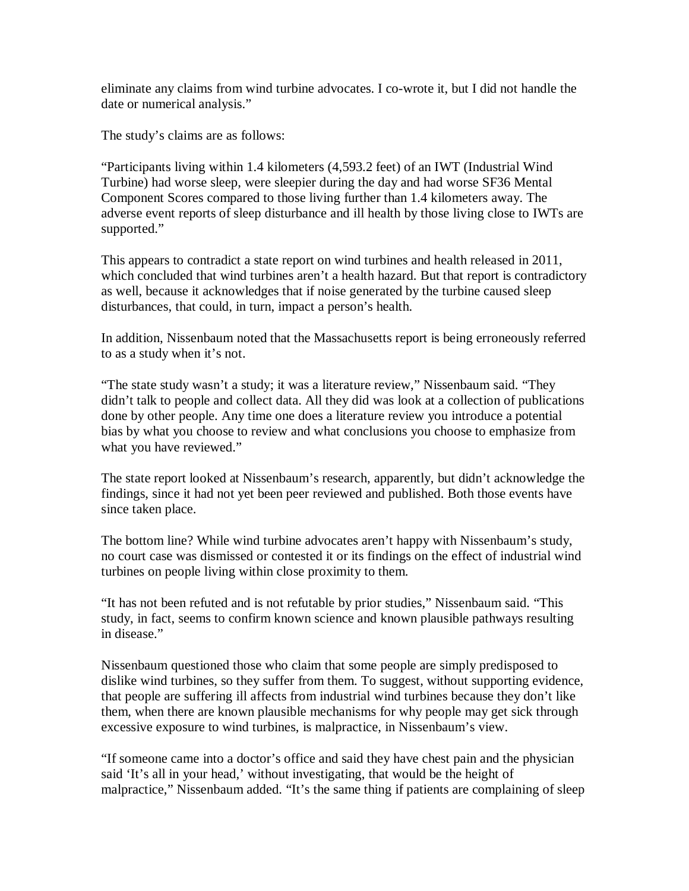eliminate any claims from wind turbine advocates. I co-wrote it, but I did not handle the date or numerical analysis."

The study's claims are as follows:

"Participants living within 1.4 kilometers (4,593.2 feet) of an IWT (Industrial Wind Turbine) had worse sleep, were sleepier during the day and had worse SF36 Mental Component Scores compared to those living further than 1.4 kilometers away. The adverse event reports of sleep disturbance and ill health by those living close to IWTs are supported."

This appears to contradict a state report on wind turbines and health released in 2011, which concluded that wind turbines aren't a health hazard. But that report is contradictory as well, because it acknowledges that if noise generated by the turbine caused sleep disturbances, that could, in turn, impact a person's health.

In addition, Nissenbaum noted that the Massachusetts report is being erroneously referred to as a study when it's not.

"The state study wasn't a study; it was a literature review," Nissenbaum said. "They didn't talk to people and collect data. All they did was look at a collection of publications done by other people. Any time one does a literature review you introduce a potential bias by what you choose to review and what conclusions you choose to emphasize from what you have reviewed."

The state report looked at Nissenbaum's research, apparently, but didn't acknowledge the findings, since it had not yet been peer reviewed and published. Both those events have since taken place.

The bottom line? While wind turbine advocates aren't happy with Nissenbaum's study, no court case was dismissed or contested it or its findings on the effect of industrial wind turbines on people living within close proximity to them.

"It has not been refuted and is not refutable by prior studies," Nissenbaum said. "This study, in fact, seems to confirm known science and known plausible pathways resulting in disease."

Nissenbaum questioned those who claim that some people are simply predisposed to dislike wind turbines, so they suffer from them. To suggest, without supporting evidence, that people are suffering ill affects from industrial wind turbines because they don't like them, when there are known plausible mechanisms for why people may get sick through excessive exposure to wind turbines, is malpractice, in Nissenbaum's view.

"If someone came into a doctor's office and said they have chest pain and the physician said 'It's all in your head,' without investigating, that would be the height of malpractice," Nissenbaum added. "It's the same thing if patients are complaining of sleep